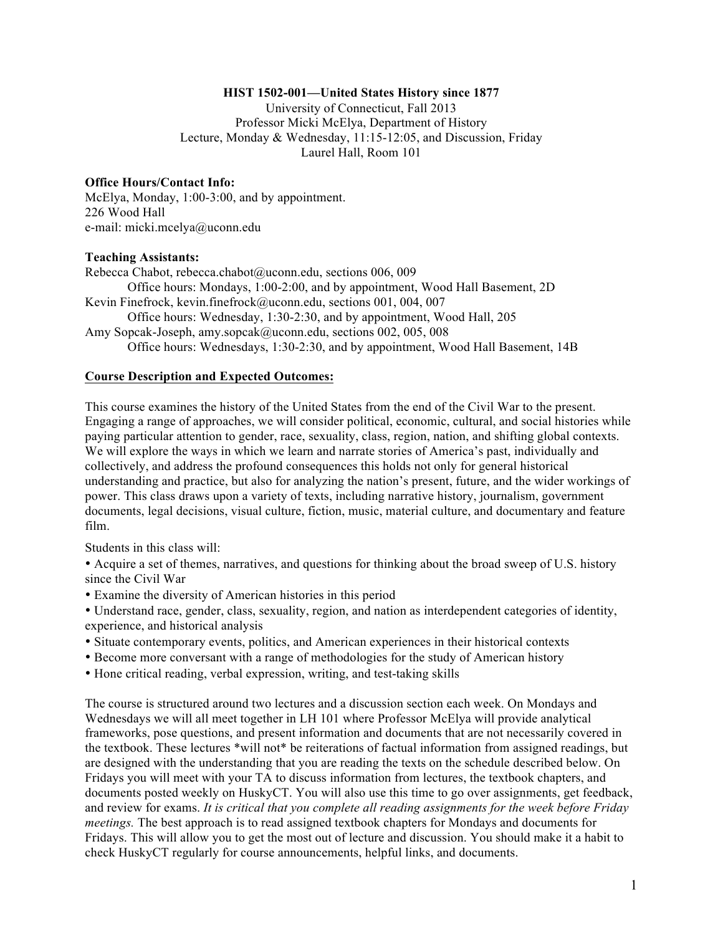### **HIST 1502-001—United States History since 1877**

University of Connecticut, Fall 2013 Professor Micki McElya, Department of History Lecture, Monday & Wednesday, 11:15-12:05, and Discussion, Friday Laurel Hall, Room 101

# **Office Hours/Contact Info:**

McElya, Monday, 1:00-3:00, and by appointment. 226 Wood Hall e-mail: micki.mcelya@uconn.edu

#### **Teaching Assistants:**

Rebecca Chabot, rebecca.chabot@uconn.edu, sections 006, 009 Office hours: Mondays, 1:00-2:00, and by appointment, Wood Hall Basement, 2D Kevin Finefrock, kevin.finefrock@uconn.edu, sections 001, 004, 007 Office hours: Wednesday, 1:30-2:30, and by appointment, Wood Hall, 205 Amy Sopcak-Joseph, amy.sopcak@uconn.edu, sections 002, 005, 008 Office hours: Wednesdays, 1:30-2:30, and by appointment, Wood Hall Basement, 14B

### **Course Description and Expected Outcomes:**

This course examines the history of the United States from the end of the Civil War to the present. Engaging a range of approaches, we will consider political, economic, cultural, and social histories while paying particular attention to gender, race, sexuality, class, region, nation, and shifting global contexts. We will explore the ways in which we learn and narrate stories of America's past, individually and collectively, and address the profound consequences this holds not only for general historical understanding and practice, but also for analyzing the nation's present, future, and the wider workings of power. This class draws upon a variety of texts, including narrative history, journalism, government documents, legal decisions, visual culture, fiction, music, material culture, and documentary and feature film.

Students in this class will:

• Acquire a set of themes, narratives, and questions for thinking about the broad sweep of U.S. history since the Civil War

• Examine the diversity of American histories in this period

• Understand race, gender, class, sexuality, region, and nation as interdependent categories of identity, experience, and historical analysis

- Situate contemporary events, politics, and American experiences in their historical contexts
- Become more conversant with a range of methodologies for the study of American history
- Hone critical reading, verbal expression, writing, and test-taking skills

The course is structured around two lectures and a discussion section each week. On Mondays and Wednesdays we will all meet together in LH 101 where Professor McElya will provide analytical frameworks, pose questions, and present information and documents that are not necessarily covered in the textbook. These lectures \*will not\* be reiterations of factual information from assigned readings, but are designed with the understanding that you are reading the texts on the schedule described below. On Fridays you will meet with your TA to discuss information from lectures, the textbook chapters, and documents posted weekly on HuskyCT. You will also use this time to go over assignments, get feedback, and review for exams. *It is critical that you complete all reading assignments for the week before Friday meetings.* The best approach is to read assigned textbook chapters for Mondays and documents for Fridays. This will allow you to get the most out of lecture and discussion. You should make it a habit to check HuskyCT regularly for course announcements, helpful links, and documents.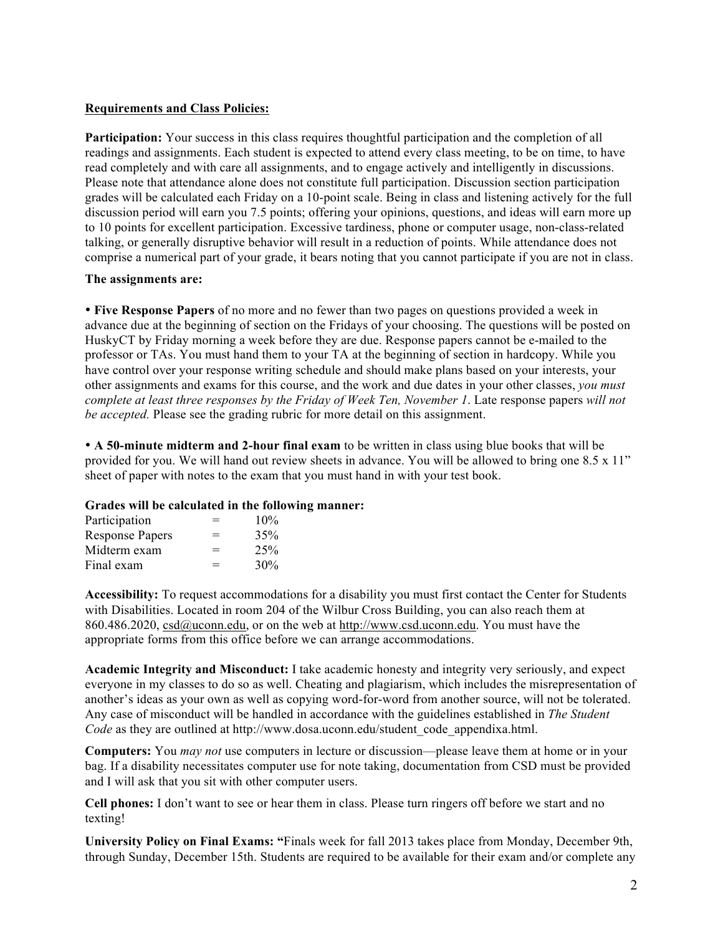# **Requirements and Class Policies:**

**Participation:** Your success in this class requires thoughtful participation and the completion of all readings and assignments. Each student is expected to attend every class meeting, to be on time, to have read completely and with care all assignments, and to engage actively and intelligently in discussions. Please note that attendance alone does not constitute full participation. Discussion section participation grades will be calculated each Friday on a 10-point scale. Being in class and listening actively for the full discussion period will earn you 7.5 points; offering your opinions, questions, and ideas will earn more up to 10 points for excellent participation. Excessive tardiness, phone or computer usage, non-class-related talking, or generally disruptive behavior will result in a reduction of points. While attendance does not comprise a numerical part of your grade, it bears noting that you cannot participate if you are not in class.

### **The assignments are:**

• **Five Response Papers** of no more and no fewer than two pages on questions provided a week in advance due at the beginning of section on the Fridays of your choosing. The questions will be posted on HuskyCT by Friday morning a week before they are due. Response papers cannot be e-mailed to the professor or TAs. You must hand them to your TA at the beginning of section in hardcopy. While you have control over your response writing schedule and should make plans based on your interests, your other assignments and exams for this course, and the work and due dates in your other classes, *you must complete at least three responses by the Friday of Week Ten, November 1*. Late response papers *will not be accepted.* Please see the grading rubric for more detail on this assignment.

• **A 50-minute midterm and 2-hour final exam** to be written in class using blue books that will be provided for you. We will hand out review sheets in advance. You will be allowed to bring one 8.5 x 11" sheet of paper with notes to the exam that you must hand in with your test book.

### **Grades will be calculated in the following manner:**

| Participation          | $=$ | 10% |
|------------------------|-----|-----|
| <b>Response Papers</b> | $=$ | 35% |
| Midterm exam           | $=$ | 25% |
| Final exam             | $=$ | 30% |

**Accessibility:** To request accommodations for a disability you must first contact the Center for Students with Disabilities. Located in room 204 of the Wilbur Cross Building, you can also reach them at 860.486.2020, csd@uconn.edu, or on the web at http://www.csd.uconn.edu. You must have the appropriate forms from this office before we can arrange accommodations.

**Academic Integrity and Misconduct:** I take academic honesty and integrity very seriously, and expect everyone in my classes to do so as well. Cheating and plagiarism, which includes the misrepresentation of another's ideas as your own as well as copying word-for-word from another source, will not be tolerated. Any case of misconduct will be handled in accordance with the guidelines established in *The Student Code* as they are outlined at http://www.dosa.uconn.edu/student\_code\_appendixa.html.

**Computers:** You *may not* use computers in lecture or discussion—please leave them at home or in your bag. If a disability necessitates computer use for note taking, documentation from CSD must be provided and I will ask that you sit with other computer users.

**Cell phones:** I don't want to see or hear them in class. Please turn ringers off before we start and no texting!

**University Policy on Final Exams: "**Finals week for fall 2013 takes place from Monday, December 9th, through Sunday, December 15th. Students are required to be available for their exam and/or complete any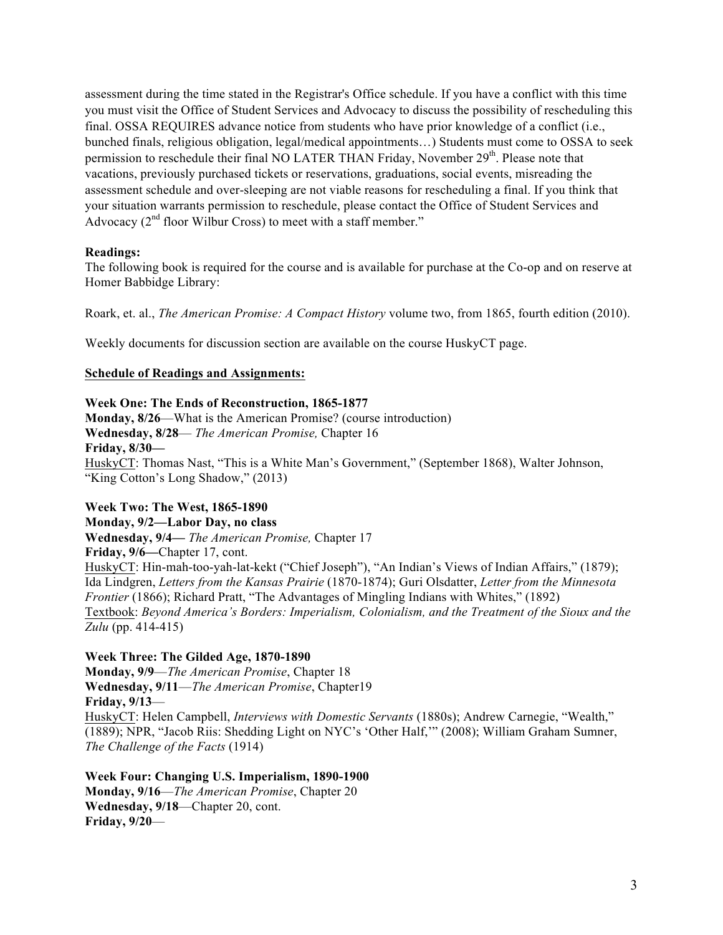assessment during the time stated in the Registrar's Office schedule. If you have a conflict with this time you must visit the Office of Student Services and Advocacy to discuss the possibility of rescheduling this final. OSSA REQUIRES advance notice from students who have prior knowledge of a conflict (i.e., bunched finals, religious obligation, legal/medical appointments…) Students must come to OSSA to seek permission to reschedule their final NO LATER THAN Friday, November 29<sup>th</sup>. Please note that vacations, previously purchased tickets or reservations, graduations, social events, misreading the assessment schedule and over-sleeping are not viable reasons for rescheduling a final. If you think that your situation warrants permission to reschedule, please contact the Office of Student Services and Advocacy  $(2<sup>nd</sup>$  floor Wilbur Cross) to meet with a staff member."

### **Readings:**

The following book is required for the course and is available for purchase at the Co-op and on reserve at Homer Babbidge Library:

Roark, et. al., *The American Promise: A Compact History* volume two, from 1865, fourth edition (2010).

Weekly documents for discussion section are available on the course HuskyCT page.

### **Schedule of Readings and Assignments:**

**Week One: The Ends of Reconstruction, 1865-1877 Monday, 8/26**—What is the American Promise? (course introduction) **Wednesday, 8/28**— *The American Promise,* Chapter 16 **Friday, 8/30—** HuskyCT: Thomas Nast, "This is a White Man's Government," (September 1868), Walter Johnson, "King Cotton's Long Shadow," (2013)

### **Week Two: The West, 1865-1890**

**Monday, 9/2—Labor Day, no class Wednesday, 9/4—** *The American Promise,* Chapter 17 **Friday, 9/6—**Chapter 17, cont. HuskyCT: Hin-mah-too-yah-lat-kekt ("Chief Joseph"), "An Indian's Views of Indian Affairs," (1879); Ida Lindgren, *Letters from the Kansas Prairie* (1870-1874); Guri Olsdatter, *Letter from the Minnesota Frontier* (1866); Richard Pratt, "The Advantages of Mingling Indians with Whites," (1892) Textbook: *Beyond America's Borders: Imperialism, Colonialism, and the Treatment of the Sioux and the Zulu* (pp. 414-415)

### **Week Three: The Gilded Age, 1870-1890**

**Monday, 9/9**—*The American Promise*, Chapter 18 **Wednesday, 9/11**—*The American Promise*, Chapter19 **Friday, 9/13**— HuskyCT: Helen Campbell, *Interviews with Domestic Servants* (1880s); Andrew Carnegie, "Wealth," (1889); NPR, "Jacob Riis: Shedding Light on NYC's 'Other Half,'" (2008); William Graham Sumner, *The Challenge of the Facts* (1914)

**Week Four: Changing U.S. Imperialism, 1890-1900 Monday, 9/16**—*The American Promise*, Chapter 20 **Wednesday, 9/18**—Chapter 20, cont. **Friday, 9/20**—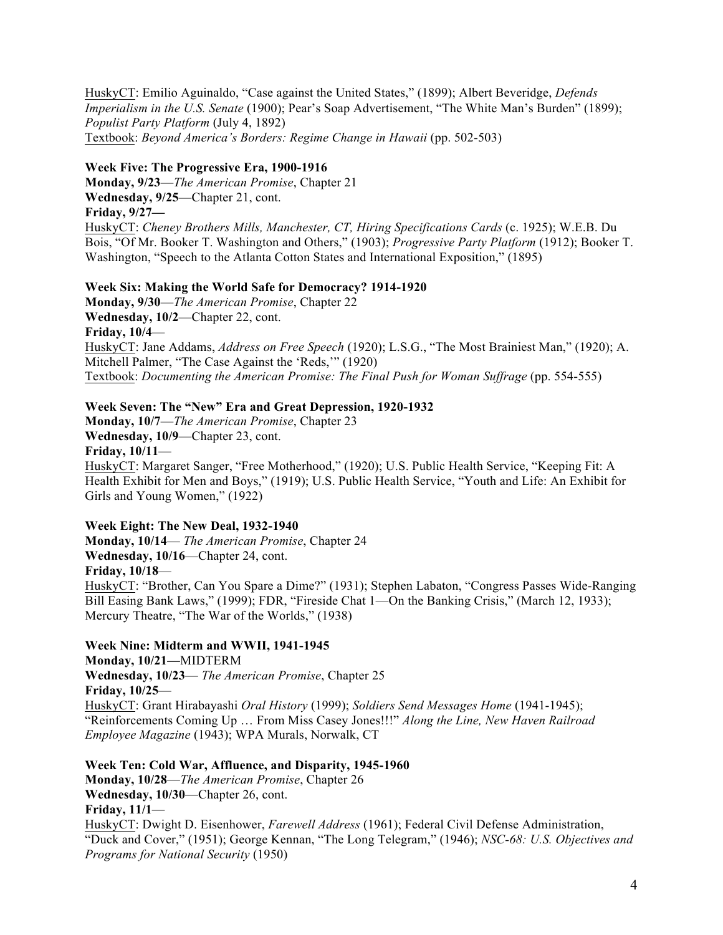HuskyCT: Emilio Aguinaldo, "Case against the United States," (1899); Albert Beveridge, *Defends Imperialism in the U.S. Senate* (1900); Pear's Soap Advertisement, "The White Man's Burden" (1899); *Populist Party Platform* (July 4, 1892) Textbook: *Beyond America's Borders: Regime Change in Hawaii* (pp. 502-503)

# **Week Five: The Progressive Era, 1900-1916**

**Monday, 9/23**—*The American Promise*, Chapter 21 **Wednesday, 9/25**—Chapter 21, cont. **Friday, 9/27—** HuskyCT: *Cheney Brothers Mills, Manchester, CT, Hiring Specifications Cards* (c. 1925); W.E.B. Du Bois, "Of Mr. Booker T. Washington and Others," (1903); *Progressive Party Platform* (1912); Booker T. Washington, "Speech to the Atlanta Cotton States and International Exposition," (1895)

### **Week Six: Making the World Safe for Democracy? 1914-1920**

**Monday, 9/30**—*The American Promise*, Chapter 22 **Wednesday, 10/2**—Chapter 22, cont. **Friday, 10/4**— HuskyCT: Jane Addams, *Address on Free Speech* (1920); L.S.G., "The Most Brainiest Man," (1920); A. Mitchell Palmer, "The Case Against the 'Reds,'" (1920) Textbook: *Documenting the American Promise: The Final Push for Woman Suffrage* (pp. 554-555)

### **Week Seven: The "New" Era and Great Depression, 1920-1932**

**Monday, 10/7**—*The American Promise*, Chapter 23

**Wednesday, 10/9**—Chapter 23, cont.

**Friday, 10/11**—

HuskyCT: Margaret Sanger, "Free Motherhood," (1920); U.S. Public Health Service, "Keeping Fit: A Health Exhibit for Men and Boys," (1919); U.S. Public Health Service, "Youth and Life: An Exhibit for Girls and Young Women," (1922)

#### **Week Eight: The New Deal, 1932-1940**

**Monday, 10/14**— *The American Promise*, Chapter 24 **Wednesday, 10/16**—Chapter 24, cont. **Friday, 10/18**— HuskyCT: "Brother, Can You Spare a Dime?" (1931); Stephen Labaton, "Congress Passes Wide-Ranging Bill Easing Bank Laws," (1999); FDR, "Fireside Chat 1—On the Banking Crisis," (March 12, 1933); Mercury Theatre, "The War of the Worlds," (1938)

**Week Nine: Midterm and WWII, 1941-1945 Monday, 10/21—**MIDTERM **Wednesday, 10/23**— *The American Promise*, Chapter 25 **Friday, 10/25**— HuskyCT: Grant Hirabayashi *Oral History* (1999); *Soldiers Send Messages Home* (1941-1945); "Reinforcements Coming Up … From Miss Casey Jones!!!" *Along the Line, New Haven Railroad Employee Magazine* (1943); WPA Murals, Norwalk, CT

**Week Ten: Cold War, Affluence, and Disparity, 1945-1960 Monday, 10/28**—*The American Promise*, Chapter 26 **Wednesday, 10/30**—Chapter 26, cont. **Friday, 11/1**— HuskyCT: Dwight D. Eisenhower, *Farewell Address* (1961); Federal Civil Defense Administration, "Duck and Cover," (1951); George Kennan, "The Long Telegram," (1946); *NSC-68: U.S. Objectives and Programs for National Security* (1950)